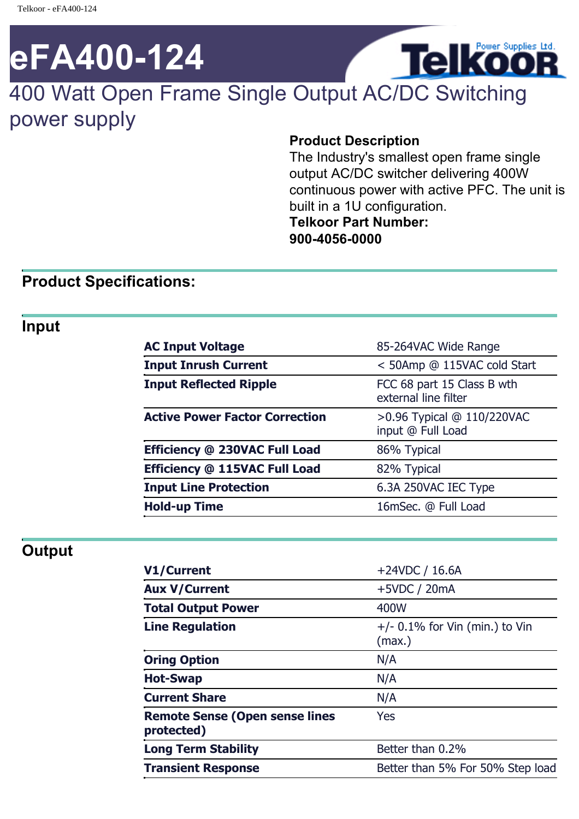# **eFA400-124**

# 400 Watt Open Frame Single Output AC/DC Switching power supply

#### **Product Description**

The Industry's smallest open frame single output AC/DC switcher delivering 400W continuous power with active PFC. The unit is built in a 1U configuration. **Telkoor Part Number: 900-4056-0000**

**Telkoor** 

#### **Product Specifications:**

#### **Input**

| <b>AC Input Voltage</b>               | 85-264VAC Wide Range                               |
|---------------------------------------|----------------------------------------------------|
| <b>Input Inrush Current</b>           | < 50Amp @ 115VAC cold Start                        |
| <b>Input Reflected Ripple</b>         | FCC 68 part 15 Class B wth<br>external line filter |
| <b>Active Power Factor Correction</b> | >0.96 Typical @ 110/220VAC<br>input @ Full Load    |
| Efficiency @ 230VAC Full Load         | 86% Typical                                        |
| Efficiency @ 115VAC Full Load         | 82% Typical                                        |
| <b>Input Line Protection</b>          | 6.3A 250VAC IEC Type                               |
| <b>Hold-up Time</b>                   | 16mSec. @ Full Load                                |

#### **Output**

| V1/Current                                          | $+24VDC / 16.6A$                           |
|-----------------------------------------------------|--------------------------------------------|
| <b>Aux V/Current</b>                                | $+5VDC / 20mA$                             |
| <b>Total Output Power</b>                           | 400W                                       |
| <b>Line Regulation</b>                              | $+/-$ 0.1% for Vin (min.) to Vin<br>(max.) |
| <b>Oring Option</b>                                 | N/A                                        |
| <b>Hot-Swap</b>                                     | N/A                                        |
| <b>Current Share</b>                                | N/A                                        |
| <b>Remote Sense (Open sense lines</b><br>protected) | Yes                                        |
| <b>Long Term Stability</b>                          | Better than 0.2%                           |
| <b>Transient Response</b>                           | Better than 5% For 50% Step load           |
|                                                     |                                            |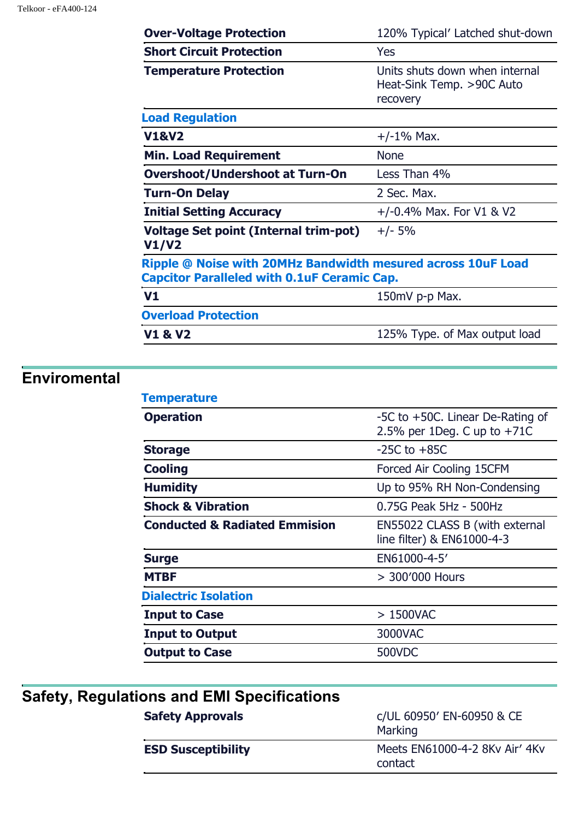| <b>Over-Voltage Protection</b>                                                                                     | 120% Typical' Latched shut-down                                         |
|--------------------------------------------------------------------------------------------------------------------|-------------------------------------------------------------------------|
| <b>Short Circuit Protection</b>                                                                                    | <b>Yes</b>                                                              |
| <b>Temperature Protection</b>                                                                                      | Units shuts down when internal<br>Heat-Sink Temp. >90C Auto<br>recovery |
| <b>Load Regulation</b>                                                                                             |                                                                         |
| <b>V1&amp;V2</b>                                                                                                   | $+/-1\%$ Max.                                                           |
| <b>Min. Load Requirement</b>                                                                                       | <b>None</b>                                                             |
| <b>Overshoot/Undershoot at Turn-On</b>                                                                             | Less Than 4%                                                            |
| <b>Turn-On Delay</b>                                                                                               | 2 Sec. Max.                                                             |
| <b>Initial Setting Accuracy</b>                                                                                    | $+/-0.4\%$ Max. For V1 & V2                                             |
| Voltage Set point (Internal trim-pot)<br>V1/V2                                                                     | $+/- 5%$                                                                |
| Ripple @ Noise with 20MHz Bandwidth mesured across 10uF Load<br><b>Capcitor Paralleled with 0.1uF Ceramic Cap.</b> |                                                                         |
| V <sub>1</sub>                                                                                                     | 150mV p-p Max.                                                          |
| <b>Overload Protection</b>                                                                                         |                                                                         |
| <b>V1 &amp; V2</b>                                                                                                 | 125% Type. of Max output load                                           |

# **Enviromental**

| <b>Temperature</b>                       |                                                                   |
|------------------------------------------|-------------------------------------------------------------------|
| <b>Operation</b>                         | -5C to +50C. Linear De-Rating of<br>2.5% per 1Deg. C up to $+71C$ |
| <b>Storage</b>                           | $-25C$ to $+85C$                                                  |
| <b>Cooling</b>                           | Forced Air Cooling 15CFM                                          |
| <b>Humidity</b>                          | Up to 95% RH Non-Condensing                                       |
| <b>Shock &amp; Vibration</b>             | 0.75G Peak 5Hz - 500Hz                                            |
| <b>Conducted &amp; Radiated Emmision</b> | EN55022 CLASS B (with external<br>line filter) & EN61000-4-3      |
| <b>Surge</b>                             | EN61000-4-5'                                                      |
| <b>MTBF</b>                              | > 300'000 Hours                                                   |
| <b>Dialectric Isolation</b>              |                                                                   |
| <b>Input to Case</b>                     | $>1500$ VAC                                                       |
| <b>Input to Output</b>                   | 3000VAC                                                           |
| <b>Output to Case</b>                    | 500VDC                                                            |
|                                          |                                                                   |

| Safety, Regulations and EMI Specifications |                                           |
|--------------------------------------------|-------------------------------------------|
| <b>Safety Approvals</b>                    | c/UL 60950' EN-60950 & CE<br>Marking      |
| <b>ESD Susceptibility</b>                  | Meets EN61000-4-2 8Ky Air' 4Ky<br>contact |
|                                            |                                           |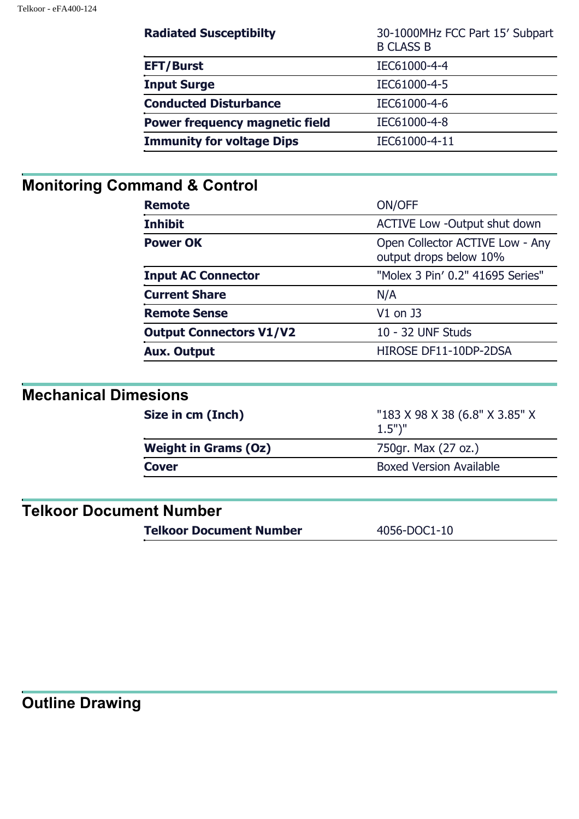| <b>Radiated Susceptibilty</b>         | 30-1000MHz FCC Part 15' Subpart<br><b>B CLASS B</b> |
|---------------------------------------|-----------------------------------------------------|
| <b>EFT/Burst</b>                      | IEC61000-4-4                                        |
| <b>Input Surge</b>                    | IEC61000-4-5                                        |
| <b>Conducted Disturbance</b>          | IEC61000-4-6                                        |
| <b>Power frequency magnetic field</b> | IEC61000-4-8                                        |
| <b>Immunity for voltage Dips</b>      | IEC61000-4-11                                       |

## **Monitoring Command & Control**

| <b>Remote</b>                  | ON/OFF                                                    |
|--------------------------------|-----------------------------------------------------------|
| <b>Inhibit</b>                 | <b>ACTIVE Low -Output shut down</b>                       |
| <b>Power OK</b>                | Open Collector ACTIVE Low - Any<br>output drops below 10% |
| <b>Input AC Connector</b>      | "Molex 3 Pin' 0.2" 41695 Series"                          |
| <b>Current Share</b>           | N/A                                                       |
| <b>Remote Sense</b>            | $V1$ on J3                                                |
| <b>Output Connectors V1/V2</b> | 10 - 32 UNF Studs                                         |
| <b>Aux. Output</b>             | HIROSE DF11-10DP-2DSA                                     |

#### **Mechanical Dimesions**

| Size in cm (Inch)           | "183 X 98 X 38 (6.8" X 3.85" X<br>$1.5"$ )" |
|-----------------------------|---------------------------------------------|
| <b>Weight in Grams (Oz)</b> | 750gr. Max (27 oz.)                         |
| <b>Cover</b>                | <b>Boxed Version Available</b>              |
|                             |                                             |

## **Telkoor Document Number**

**Telkoor Document Number** 4056-DOC1-10